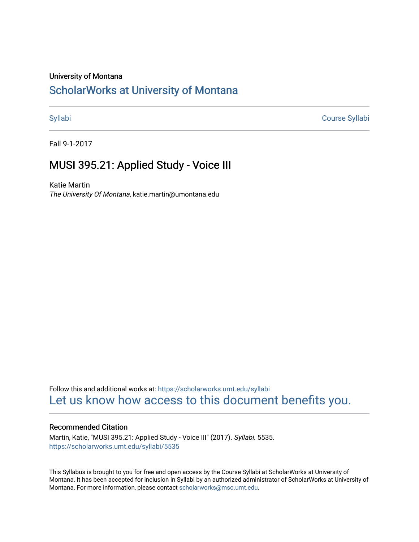# University of Montana

# [ScholarWorks at University of Montana](https://scholarworks.umt.edu/)

[Syllabi](https://scholarworks.umt.edu/syllabi) [Course Syllabi](https://scholarworks.umt.edu/course_syllabi) 

Fall 9-1-2017

# MUSI 395.21: Applied Study - Voice III

Katie Martin The University Of Montana, katie.martin@umontana.edu

Follow this and additional works at: [https://scholarworks.umt.edu/syllabi](https://scholarworks.umt.edu/syllabi?utm_source=scholarworks.umt.edu%2Fsyllabi%2F5535&utm_medium=PDF&utm_campaign=PDFCoverPages)  [Let us know how access to this document benefits you.](https://goo.gl/forms/s2rGfXOLzz71qgsB2) 

# Recommended Citation

Martin, Katie, "MUSI 395.21: Applied Study - Voice III" (2017). Syllabi. 5535. [https://scholarworks.umt.edu/syllabi/5535](https://scholarworks.umt.edu/syllabi/5535?utm_source=scholarworks.umt.edu%2Fsyllabi%2F5535&utm_medium=PDF&utm_campaign=PDFCoverPages)

This Syllabus is brought to you for free and open access by the Course Syllabi at ScholarWorks at University of Montana. It has been accepted for inclusion in Syllabi by an authorized administrator of ScholarWorks at University of Montana. For more information, please contact [scholarworks@mso.umt.edu.](mailto:scholarworks@mso.umt.edu)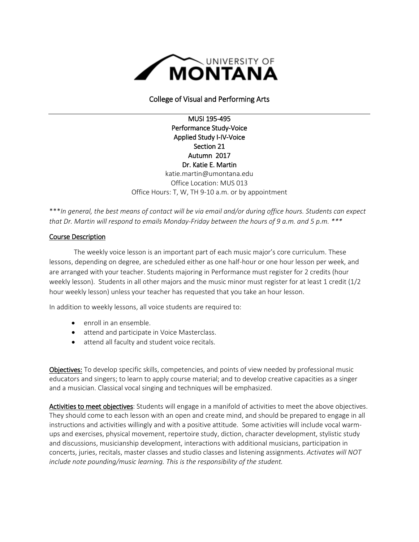

College of Visual and Performing Arts

MUSI 195-495 Performance Study-Voice Applied Study I-IV-Voice Section 21 Autumn 2017 Dr. Katie E. Martin katie.martin@umontana.edu Office Location: MUS 013 Office Hours: T, W, TH 9-10 a.m. or by appointment

\*\*\**In general, the best means of contact will be via email and/or during office hours. Students can expect that Dr. Martin will respond to emails Monday-Friday between the hours of 9 a.m. and 5 p.m. \*\*\**

# Course Description

The weekly voice lesson is an important part of each music major's core curriculum. These lessons, depending on degree, are scheduled either as one half-hour or one hour lesson per week, and are arranged with your teacher. Students majoring in Performance must register for 2 credits (hour weekly lesson). Students in all other majors and the music minor must register for at least 1 credit (1/2 hour weekly lesson) unless your teacher has requested that you take an hour lesson.

In addition to weekly lessons, all voice students are required to:

- enroll in an ensemble.
- attend and participate in Voice Masterclass.
- attend all faculty and student voice recitals.

Objectives: To develop specific skills, competencies, and points of view needed by professional music educators and singers; to learn to apply course material; and to develop creative capacities as a singer and a musician. Classical vocal singing and techniques will be emphasized.

Activities to meet objectives: Students will engage in a manifold of activities to meet the above objectives. They should come to each lesson with an open and create mind, and should be prepared to engage in all instructions and activities willingly and with a positive attitude. Some activities will include vocal warmups and exercises, physical movement, repertoire study, diction, character development, stylistic study and discussions, musicianship development, interactions with additional musicians, participation in concerts, juries, recitals, master classes and studio classes and listening assignments. *Activates will NOT include note pounding/music learning. This is the responsibility of the student.*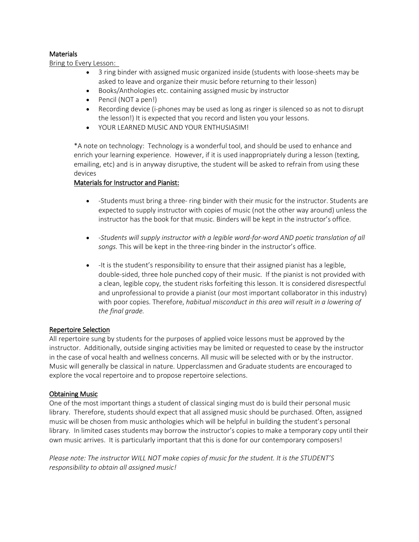# **Materials**

Bring to Every Lesson:

- 3 ring binder with assigned music organized inside (students with loose-sheets may be asked to leave and organize their music before returning to their lesson)
- Books/Anthologies etc. containing assigned music by instructor
- Pencil (NOT a pen!)
- Recording device (i-phones may be used as long as ringer is silenced so as not to disrupt the lesson!) It is expected that you record and listen you your lessons.
- YOUR LEARNED MUSIC AND YOUR ENTHUSIASIM!

\*A note on technology: Technology is a wonderful tool, and should be used to enhance and enrich your learning experience. However, if it is used inappropriately during a lesson (texting, emailing, etc) and is in anyway disruptive, the student will be asked to refrain from using these devices

# Materials for Instructor and Pianist:

- -Students must bring a three- ring binder with their music for the instructor. Students are expected to supply instructor with copies of music (not the other way around) unless the instructor has the book for that music. Binders will be kept in the instructor's office.
- *-Students will supply instructor with a legible word-for-word AND poetic translation of all songs.* This will be kept in the three-ring binder in the instructor's office.
- -It is the student's responsibility to ensure that their assigned pianist has a legible, double-sided, three hole punched copy of their music. If the pianist is not provided with a clean, legible copy, the student risks forfeiting this lesson. It is considered disrespectful and unprofessional to provide a pianist (our most important collaborator in this industry) with poor copies. Therefore, *habitual misconduct in this area will result in a lowering of the final grade.*

# Repertoire Selection

All repertoire sung by students for the purposes of applied voice lessons must be approved by the instructor. Additionally, outside singing activities may be limited or requested to cease by the instructor in the case of vocal health and wellness concerns. All music will be selected with or by the instructor. Music will generally be classical in nature. Upperclassmen and Graduate students are encouraged to explore the vocal repertoire and to propose repertoire selections.

# Obtaining Music

One of the most important things a student of classical singing must do is build their personal music library. Therefore, students should expect that all assigned music should be purchased. Often, assigned music will be chosen from music anthologies which will be helpful in building the student's personal library. In limited cases students may borrow the instructor's copies to make a temporary copy until their own music arrives. It is particularly important that this is done for our contemporary composers!

*Please note: The instructor WILL NOT make copies of music for the student. It is the STUDENT'S responsibility to obtain all assigned music!*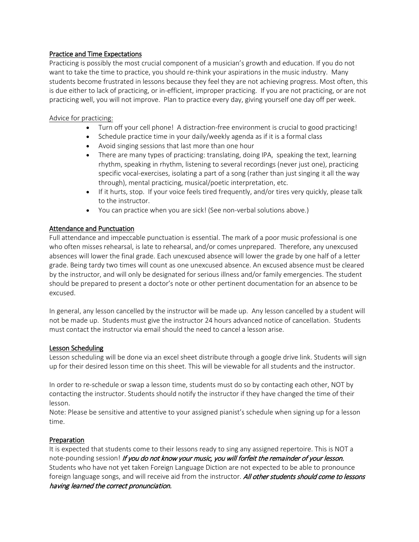# Practice and Time Expectations

Practicing is possibly the most crucial component of a musician's growth and education. If you do not want to take the time to practice, you should re-think your aspirations in the music industry. Many students become frustrated in lessons because they feel they are not achieving progress. Most often, this is due either to lack of practicing, or in-efficient, improper practicing. If you are not practicing, or are not practicing well, you will not improve. Plan to practice every day, giving yourself one day off per week.

# Advice for practicing:

- Turn off your cell phone! A distraction-free environment is crucial to good practicing!
- Schedule practice time in your daily/weekly agenda as if it is a formal class
- Avoid singing sessions that last more than one hour
- There are many types of practicing: translating, doing IPA, speaking the text, learning rhythm, speaking in rhythm, listening to several recordings (never just one), practicing specific vocal-exercises, isolating a part of a song (rather than just singing it all the way through), mental practicing, musical/poetic interpretation, etc.
- If it hurts, stop. If your voice feels tired frequently, and/or tires very quickly, please talk to the instructor.
- You can practice when you are sick! (See non-verbal solutions above.)

# Attendance and Punctuation

Full attendance and impeccable punctuation is essential. The mark of a poor music professional is one who often misses rehearsal, is late to rehearsal, and/or comes unprepared. Therefore, any unexcused absences will lower the final grade. Each unexcused absence will lower the grade by one half of a letter grade. Being tardy two times will count as one unexcused absence. An excused absence must be cleared by the instructor, and will only be designated for serious illness and/or family emergencies. The student should be prepared to present a doctor's note or other pertinent documentation for an absence to be excused.

In general, any lesson cancelled by the instructor will be made up. Any lesson cancelled by a student will not be made up. Students must give the instructor 24 hours advanced notice of cancellation. Students must contact the instructor via email should the need to cancel a lesson arise.

# Lesson Scheduling

Lesson scheduling will be done via an excel sheet distribute through a google drive link. Students will sign up for their desired lesson time on this sheet. This will be viewable for all students and the instructor.

In order to re-schedule or swap a lesson time, students must do so by contacting each other, NOT by contacting the instructor. Students should notify the instructor if they have changed the time of their lesson.

Note: Please be sensitive and attentive to your assigned pianist's schedule when signing up for a lesson time.

# Preparation

It is expected that students come to their lessons ready to sing any assigned repertoire. This is NOT a note-pounding session! If you do not know your music, you will forfeit the remainder of your lesson. Students who have not yet taken Foreign Language Diction are not expected to be able to pronounce foreign language songs, and will receive aid from the instructor. All other students should come to lessons having learned the correct pronunciation.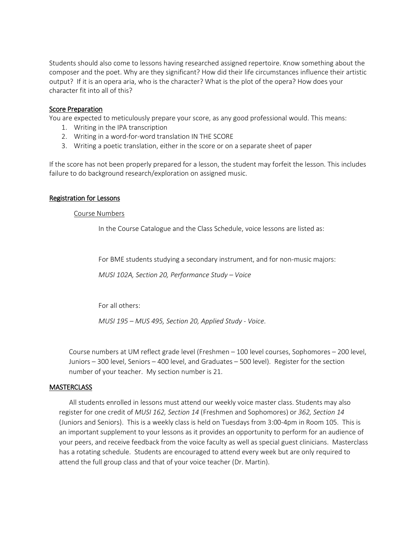Students should also come to lessons having researched assigned repertoire. Know something about the composer and the poet. Why are they significant? How did their life circumstances influence their artistic output? If it is an opera aria, who is the character? What is the plot of the opera? How does your character fit into all of this?

# Score Preparation

You are expected to meticulously prepare your score, as any good professional would. This means:

- 1. Writing in the IPA transcription
- 2. Writing in a word-for-word translation IN THE SCORE
- 3. Writing a poetic translation, either in the score or on a separate sheet of paper

If the score has not been properly prepared for a lesson, the student may forfeit the lesson. This includes failure to do background research/exploration on assigned music.

# Registration for Lessons

# Course Numbers

In the Course Catalogue and the Class Schedule, voice lessons are listed as:

For BME students studying a secondary instrument, and for non-music majors:

*MUSI 102A, Section 20, Performance Study – Voice*

For all others:

*MUSI 195 – MUS 495, Section 20, Applied Study - Voice*.

Course numbers at UM reflect grade level (Freshmen – 100 level courses, Sophomores – 200 level, Juniors – 300 level, Seniors – 400 level, and Graduates – 500 level). Register for the section number of your teacher. My section number is 21.

# **MASTERCLASS**

All students enrolled in lessons must attend our weekly voice master class. Students may also register for one credit of *MUSI 162, Section 14* (Freshmen and Sophomores) or *362, Section 14*  (Juniors and Seniors). This is a weekly class is held on Tuesdays from 3:00-4pm in Room 105. This is an important supplement to your lessons as it provides an opportunity to perform for an audience of your peers, and receive feedback from the voice faculty as well as special guest clinicians. Masterclass has a rotating schedule. Students are encouraged to attend every week but are only required to attend the full group class and that of your voice teacher (Dr. Martin).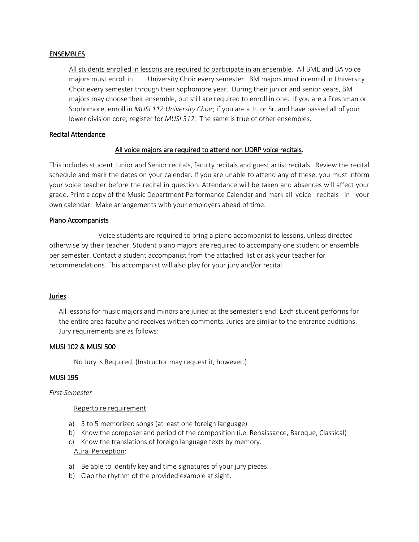### ENSEMBLES

All students enrolled in lessons are required to participate in an ensemble. All BME and BA voice majors must enroll in University Choir every semester. BM majors must in enroll in University Choir every semester through their sophomore year. During their junior and senior years, BM majors may choose their ensemble, but still are required to enroll in one. If you are a Freshman or Sophomore, enroll in *MUSI 112 University Choir*; if you are a Jr. or Sr. and have passed all of your lower division core, register for *MUSI 312*. The same is true of other ensembles.

### Recital Attendance

# All voice majors are required to attend non UDRP voice recitals.

This includes student Junior and Senior recitals, faculty recitals and guest artist recitals. Review the recital schedule and mark the dates on your calendar. If you are unable to attend any of these, you must inform your voice teacher before the recital in question. Attendance will be taken and absences will affect your grade. Print a copy of the Music Department Performance Calendar and mark all voice recitals in your own calendar. Make arrangements with your employers ahead of time.

### Piano Accompanists

 Voice students are required to bring a piano accompanist to lessons, unless directed otherwise by their teacher. Student piano majors are required to accompany one student or ensemble per semester. Contact a student accompanist from the attached list or ask your teacher for recommendations. This accompanist will also play for your jury and/or recital.

#### Juries

All lessons for music majors and minors are juried at the semester's end. Each student performs for the entire area faculty and receives written comments. Juries are similar to the entrance auditions. Jury requirements are as follows:

#### MUSI 102 & MUSI 500

No Jury is Required. (Instructor may request it, however.)

### MUSI 195

#### *First Semester*

#### Repertoire requirement:

- a) 3 to 5 memorized songs (at least one foreign language)
- b) Know the composer and period of the composition (i.e. Renaissance, Baroque, Classical)
- c) Know the translations of foreign language texts by memory. Aural Perception:
- a) Be able to identify key and time signatures of your jury pieces.
- b) Clap the rhythm of the provided example at sight.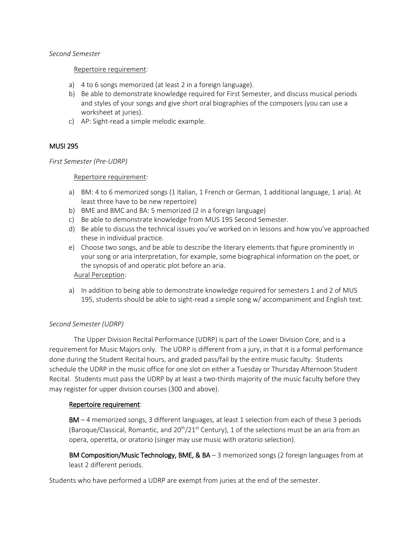#### *Second Semester*

#### Repertoire requirement:

- a) 4 to 6 songs memorized (at least 2 in a foreign language).
- b) Be able to demonstrate knowledge required for First Semester, and discuss musical periods and styles of your songs and give short oral biographies of the composers (you can use a worksheet at juries).
- c) AP: Sight-read a simple melodic example.

# MUSI 295

### *First Semester (Pre-UDRP)*

### Repertoire requirement:

- a) BM: 4 to 6 memorized songs (1 Italian, 1 French or German, 1 additional language, 1 aria). At least three have to be new repertoire)
- b) BME and BMC and BA: 5 memorized (2 in a foreign language)
- c) Be able to demonstrate knowledge from MUS 195 Second Semester.
- d) Be able to discuss the technical issues you've worked on in lessons and how you've approached these in individual practice.
- e) Choose two songs, and be able to describe the literary elements that figure prominently in your song or aria interpretation, for example, some biographical information on the poet, or the synopsis of and operatic plot before an aria.

Aural Perception:

a) In addition to being able to demonstrate knowledge required for semesters 1 and 2 of MUS 195, students should be able to sight-read a simple song w/ accompaniment and English text.

# *Second Semester (UDRP)*

The Upper Division Recital Performance (UDRP) is part of the Lower Division Core, and is a requirement for Music Majors only. The UDRP is different from a jury, in that it is a formal performance done during the Student Recital hours, and graded pass/fail by the entire music faculty. Students schedule the UDRP in the music office for one slot on either a Tuesday or Thursday Afternoon Student Recital. Students must pass the UDRP by at least a two-thirds majority of the music faculty before they may register for upper division courses (300 and above).

# Repertoire requirement:

BM – 4 memorized songs, 3 different languages, at least 1 selection from each of these 3 periods (Baroque/Classical, Romantic, and  $20^{th}/21^{st}$  Century), 1 of the selections must be an aria from an opera, operetta, or oratorio (singer may use music with oratorio selection).

BM Composition/Music Technology, BME, & BA - 3 memorized songs (2 foreign languages from at least 2 different periods.

Students who have performed a UDRP are exempt from juries at the end of the semester.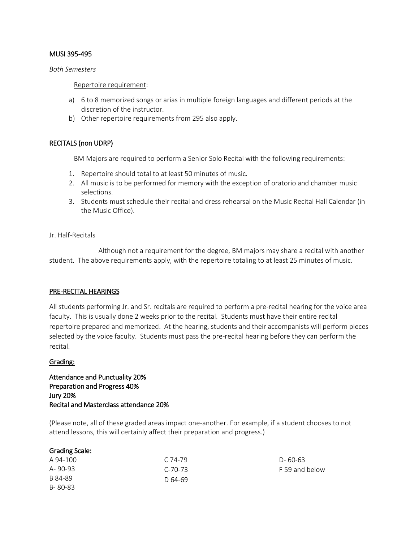# MUSI 395-495

#### *Both Semesters*

# Repertoire requirement:

- a) 6 to 8 memorized songs or arias in multiple foreign languages and different periods at the discretion of the instructor.
- b) Other repertoire requirements from 295 also apply.

# RECITALS (non UDRP)

BM Majors are required to perform a Senior Solo Recital with the following requirements:

- 1. Repertoire should total to at least 50 minutes of music.
- 2. All music is to be performed for memory with the exception of oratorio and chamber music selections.
- 3. Students must schedule their recital and dress rehearsal on the Music Recital Hall Calendar (in the Music Office).

### Jr. Half-Recitals

 Although not a requirement for the degree, BM majors may share a recital with another student. The above requirements apply, with the repertoire totaling to at least 25 minutes of music.

# PRE-RECITAL HEARINGS

All students performing Jr. and Sr. recitals are required to perform a pre-recital hearing for the voice area faculty. This is usually done 2 weeks prior to the recital. Students must have their entire recital repertoire prepared and memorized. At the hearing, students and their accompanists will perform pieces selected by the voice faculty. Students must pass the pre-recital hearing before they can perform the recital.

#### Grading:

Attendance and Punctuality 20% Preparation and Progress 40% Jury 20% Recital and Masterclass attendance 20%

(Please note, all of these graded areas impact one-another. For example, if a student chooses to not attend lessons, this will certainly affect their preparation and progress.)

| <b>Grading Scale:</b> |           |                |
|-----------------------|-----------|----------------|
| A 94-100              | $C.74-79$ | $D - 60 - 63$  |
| A-90-93               | $C-70-73$ | F 59 and below |
| B 84-89               | D 64-69   |                |
| B-80-83               |           |                |